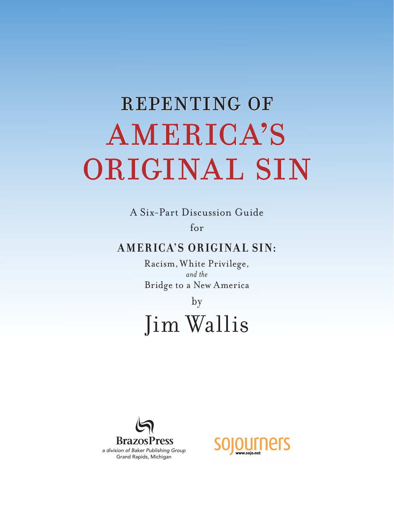# REPENTING OF AMERICA'S ORIGINAL SIN

A Six-Part Discussion Guide for

### **A MER IC A'S OR IGINA L SIN:**

Racism, White Privilege, *and the*  Bridge to a New America

by

## Jim Wallis



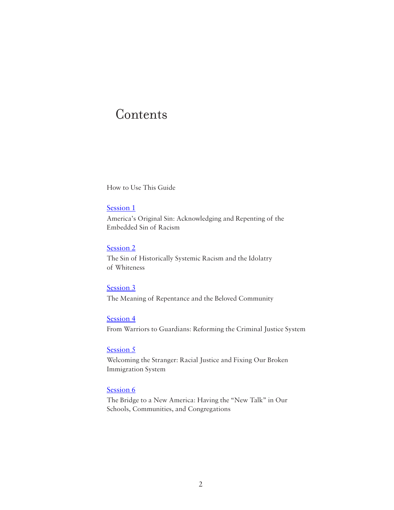### **Contents**

How to Use This Guide

#### [Session 1](#page-3-0)

America's Original Sin: Acknowledging and Repenting of the Embedded Sin of Racism

#### [Session 2](#page-5-0)

The Sin of Historically Systemic Racism and the Idolatry of Whiteness

#### [Session 3](#page-8-0)

The Meaning of Repentance and the Beloved Community

#### [Session 4](#page-10-0)

From Warriors to Guardians: Reforming the Criminal Justice System

#### [Session 5](#page-12-0)

Welcoming the Stranger: Racial Justice and Fixing Our Broken Immigration System

#### [Session 6](#page-14-0)

The Bridge to a New America: Having the "New Talk" in Our Schools, Communities, and Congregations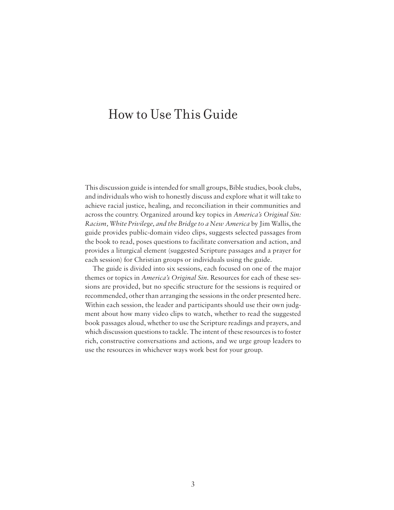### How to Use This Guide

This discussion guide is intended for small groups, Bible studies, book clubs, and individuals who wish to honestly discuss and explore what it will take to achieve racial justice, healing, and reconciliation in their communities and across the country. Organized around key topics in *America's Original Sin: Racism, White Privilege, and the Bridge to a New America* by Jim Wallis, the guide provides public-domain video clips, suggests selected passages from the book to read, poses questions to facilitate conversation and action, and provides a liturgical element (suggested Scripture passages and a prayer for each session) for Christian groups or individuals using the guide.

The guide is divided into six sessions, each focused on one of the major themes or topics in *America's Original Sin*. Resources for each of these sessions are provided, but no specific structure for the sessions is required or recommended, other than arranging the sessions in the order presented here. Within each session, the leader and participants should use their own judgment about how many video clips to watch, whether to read the suggested book passages aloud, whether to use the Scripture readings and prayers, and which discussion questions to tackle. The intent of these resources is to foster rich, constructive conversations and actions, and we urge group leaders to use the resources in whichever ways work best for your group.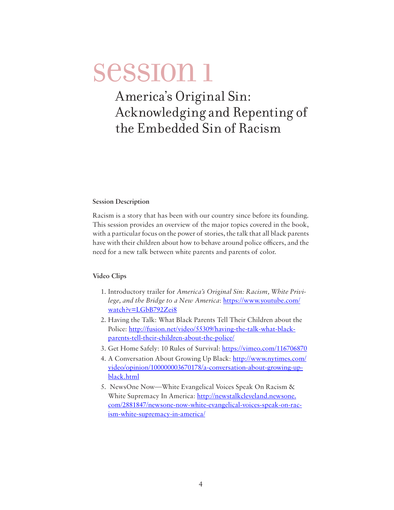### <span id="page-3-0"></span>America's Original Sin: Acknowledging and Repenting of the Embedded Sin of Racism

#### **Session Description**

Racism is a story that has been with our country since before its founding. This session provides an overview of the major topics covered in the book, with a particular focus on the power of stories, the talk that all black parents have with their children about how to behave around police officers, and the need for a new talk between white parents and parents of color.

#### **Video Clips**

- 1. Introductory trailer for *America's Original Sin: Racism, White Privilege, and the Bridge to a New America*: [https://www.youtube.com/](https://www.youtube.com/watch?v=LGbB792Zei8) [watch?v=LGbB792Zei8](https://www.youtube.com/watch?v=LGbB792Zei8)
- 2. Having the Talk: What Black Parents Tell Their Children about the Police: [http://fusion.net/video/55309/having-the-talk-what-black](http://fusion.net/video/55309/having-the-talk-what-black-parents-tell-their-children-about-the-police/)[parents-tell-their-children-about-the-police/](http://fusion.net/video/55309/having-the-talk-what-black-parents-tell-their-children-about-the-police/)
- 3. Get Home Safely: 10 Rules of Survival:<https://vimeo.com/116706870>
- 4. A Conversation About Growing Up Black: [http://www.nytimes.com/](http://www.nytimes.com/video/opinion/100000003670178/a-conversation-about-growing-up-black.html) [video/opinion/100000003670178/a-conversation-about-growing-up](http://www.nytimes.com/video/opinion/100000003670178/a-conversation-about-growing-up-black.html)[black.html](http://www.nytimes.com/video/opinion/100000003670178/a-conversation-about-growing-up-black.html)
- 5. NewsOne Now—White Evangelical Voices Speak On Racism & White Supremacy In America: [http://newstalkcleveland.newsone.](http://newstalkcleveland.newsone.com/2881847/newsone-now-white-evangelical-voices-speak-on-racism-white-supremacy-in-america/) [com/2881847/newsone-now-white-evangelical-voices-speak-on-rac](http://newstalkcleveland.newsone.com/2881847/newsone-now-white-evangelical-voices-speak-on-racism-white-supremacy-in-america/)[ism-white-supremacy-in-america/](http://newstalkcleveland.newsone.com/2881847/newsone-now-white-evangelical-voices-speak-on-racism-white-supremacy-in-america/)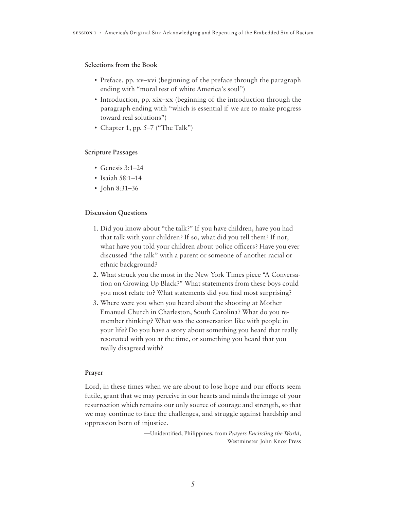#### **Selections from the Book**

- Preface, pp. xv–xvi (beginning of the preface through the paragraph ending with "moral test of white America's soul")
- Introduction, pp. xix–xx (beginning of the introduction through the paragraph ending with "which is essential if we are to make progress toward real solutions")
- Chapter 1, pp.  $5-7$  ("The Talk")

#### **Scripture Passages**

- Genesis  $3:1-24$
- Isaiah 58:1–14
- John 8:31–36

#### **Discussion Questions**

- 1. Did you know about "the talk?" If you have children, have you had that talk with your children? If so, what did you tell them? If not, what have you told your children about police officers? Have you ever discussed "the talk" with a parent or someone of another racial or ethnic background?
- 2. What struck you the most in the New York Times piece "A Conversation on Growing Up Black?" What statements from these boys could you most relate to? What statements did you find most surprising?
- 3. Where were you when you heard about the shooting at Mother Emanuel Church in Charleston, South Carolina? What do you remember thinking? What was the conversation like with people in your life? Do you have a story about something you heard that really resonated with you at the time, or something you heard that you really disagreed with?

#### **Prayer**

Lord, in these times when we are about to lose hope and our efforts seem futile, grant that we may perceive in our hearts and minds the image of your resurrection which remains our only source of courage and strength, so that we may continue to face the challenges, and struggle against hardship and oppression born of injustice.

> —Unidentified, Philippines, from *Prayers Encircling the World,*  Westminster John Knox Press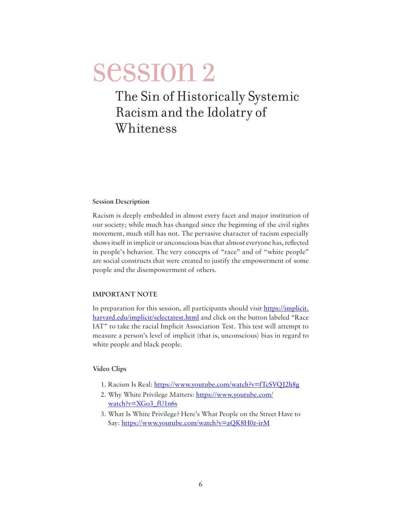### <span id="page-5-0"></span>The Sin of Historically Systemic Racism and the Idolatry of Whiteness

#### **Session Description**

Racism is deeply embedded in almost every facet and major institution of our society; while much has changed since the beginning of the civil rights movement, much still has not. The pervasive character of racism especially shows itself in implicit or unconscious bias that almost everyone has, reflected in people's behavior. The very concepts of "race" and of "white people" are social constructs that were created to justify the empowerment of some people and the disempowerment of others.

#### **IMPORTANT NOTE**

In preparation for this session, all participants should visit [https://implicit.](https://implicit.harvard.edu/implicit/selectatest.html) [harvard.edu/implicit/selectatest.html](https://implicit.harvard.edu/implicit/selectatest.html) and click on the button labeled "Race IAT" to take the racial Implicit Association Test. This test will attempt to measure a person's level of implicit (that is, unconscious) bias in regard to white people and black people.

#### **Video Clips**

- 1. Racism Is Real: <https://www.youtube.com/watch?v=fTcSVQJ2h8g>
- 2. Why White Privilege Matters: [https://www.youtube.com/](https://www.youtube.com/watch?v=XGo3_fU1n6s) [watch?v=XGo3\\_fU1n6s](https://www.youtube.com/watch?v=XGo3_fU1n6s)
- 3. What Is White Privilege? Here's What People on the Street Have to Say: <https://www.youtube.com/watch?v=aQK8H0z-irM>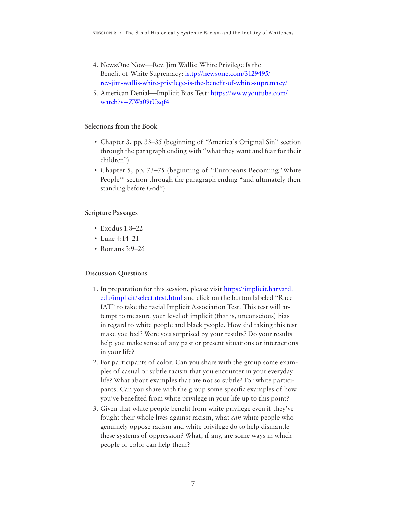- 4. NewsOne Now—Rev. Jim Wallis: White Privilege Is the Benefit of White Supremacy: [http://newsone.com/3129495/](http://newsone.com/3129495/rev-jim-wallis-white-privilege-is-the-benefit-of-white-supremacy/) [rev-jim-wallis-white-privilege-is-the-benefit-of-white-supremacy/](http://newsone.com/3129495/rev-jim-wallis-white-privilege-is-the-benefit-of-white-supremacy/)
- 5. American Denial—Implicit Bias Test: [https://www.youtube.com/](https://www.youtube.com/watch?v=ZWa09tUzqf4) [watch?v=ZWa09tUzqf4](https://www.youtube.com/watch?v=ZWa09tUzqf4)

#### **Selections from the Book**

- Chapter 3, pp. 33–35 (beginning of "America's Original Sin" section through the paragraph ending with "what they want and fear for their children")
- Chapter 5, pp. 73–75 (beginning of "Europeans Becoming 'White People'" section through the paragraph ending "and ultimately their standing before God")

#### **Scripture Passages**

- $\cdot$  Exodus 1:8–22
- Luke 4:14–21
- Romans 3:9–26

#### **Discussion Questions**

- 1. In preparation for this session, please visit [https://implicit.harvard.](https://implicit.harvard.edu/implicit/selectatest.html) [edu/implicit/selectatest.html](https://implicit.harvard.edu/implicit/selectatest.html) and click on the button labeled "Race IAT" to take the racial Implicit Association Test. This test will attempt to measure your level of implicit (that is, unconscious) bias in regard to white people and black people. How did taking this test make you feel? Were you surprised by your results? Do your results help you make sense of any past or present situations or interactions in your life?
- 2. For participants of color: Can you share with the group some examples of casual or subtle racism that you encounter in your everyday life? What about examples that are not so subtle? For white participants: Can you share with the group some specific examples of how you've benefited from white privilege in your life up to this point?
- 3. Given that white people benefit from white privilege even if they've fought their whole lives against racism, what *can* white people who genuinely oppose racism and white privilege do to help dismantle these systems of oppression? What, if any, are some ways in which people of color can help them?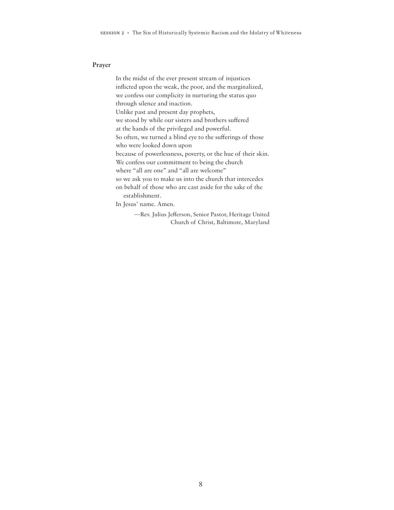#### **Prayer**

In the midst of the ever present stream of injustices inflicted upon the weak, the poor, and the marginalized, we confess our complicity in nurturing the status quo through silence and inaction. Unlike past and present day prophets, we stood by while our sisters and brothers suffered at the hands of the privileged and powerful. So often, we turned a blind eye to the sufferings of those who were looked down upon because of powerlessness, poverty, or the hue of their skin. We confess our commitment to being the church where "all are one" and "all are welcome" so we ask you to make us into the church that intercedes on behalf of those who are cast aside for the sake of the establishment. In Jesus' name. Amen.

> —Rev. Julius Jefferson, Senior Pastor, Heritage United Church of Christ, Baltimore, Maryland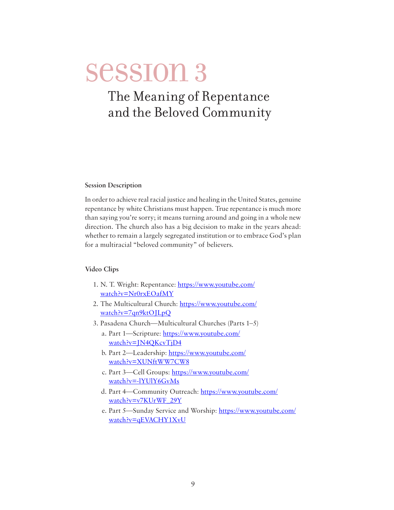### <span id="page-8-0"></span>The Meaning of Repentance and the Beloved Community

#### **Session Description**

In order to achieve real racial justice and healing in the United States, genuine repentance by white Christians must happen. True repentance is much more than saying you're sorry; it means turning around and going in a whole new direction. The church also has a big decision to make in the years ahead: whether to remain a largely segregated institution or to embrace God's plan for a multiracial "beloved community" of believers.

#### **Video Clips**

- 1. N. T. Wright: Repentance: [https://www.youtube.com/](https://www.youtube.com/watch?v=Nr0rxEOafMY) [watch?v=Nr0rxEOafMY](https://www.youtube.com/watch?v=Nr0rxEOafMY)
- 2. The Multicultural Church: [https://www.youtube.com/](https://www.youtube.com/watch?v=7qn9ktOJLpQ) [watch?v=7qn9ktOJLpQ](https://www.youtube.com/watch?v=7qn9ktOJLpQ)
- 3. Pasadena Church—Multicultural Churches (Parts 1–5)
	- a. Part 1—Scripture: [https://www.youtube.com/](https://www.youtube.com/watch?v=JN4QKcvTjD4) [watch?v=JN4QKcvTjD4](https://www.youtube.com/watch?v=JN4QKcvTjD4)
	- b. Part 2—Leadership: [https://www.youtube.com/](https://www.youtube.com/watch?v=XUNftWW7CW8) [watch?v=XUNftWW7CW8](https://www.youtube.com/watch?v=XUNftWW7CW8)
	- c. Part 3—Cell Groups: [https://www.youtube.com/](https://www.youtube.com/watch?v=-lYUlY6GvMs) [watch?v=-lYUlY6GvMs](https://www.youtube.com/watch?v=-lYUlY6GvMs)
	- d. Part 4—Community Outreach: [https://www.youtube.com/](https://www.youtube.com/watch?v=v7KUrWF_29Y) [watch?v=v7KUrWF\\_29Y](https://www.youtube.com/watch?v=v7KUrWF_29Y)
	- e. Part 5—Sunday Service and Worship: [https://www.youtube.com/](https://www.youtube.com/watch?v=qEVACHY1XvU) [watch?v=qEVACHY1XvU](https://www.youtube.com/watch?v=qEVACHY1XvU)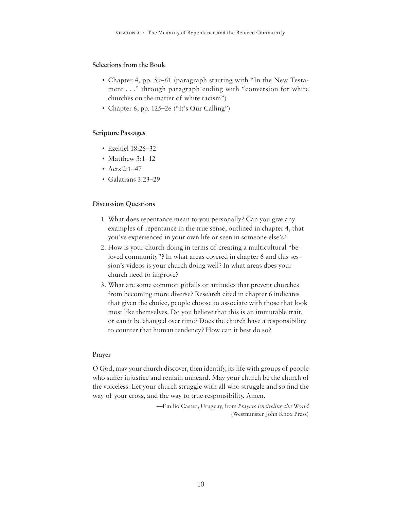#### **Selections from the Book**

- Chapter 4, pp. 59–61 (paragraph starting with "In the New Testament . . ." through paragraph ending with "conversion for white churches on the matter of white racism")
- Chapter 6, pp. 125–26 ("It's Our Calling")

#### **Scripture Passages**

- Ezekiel 18:26–32
- Matthew 3:1–12
- Acts 2:1–47
- Galatians 3:23–29

#### **Discussion Questions**

- 1. What does repentance mean to you personally? Can you give any examples of repentance in the true sense, outlined in chapter 4, that you've experienced in your own life or seen in someone else's?
- 2. How is your church doing in terms of creating a multicultural "beloved community"? In what areas covered in chapter 6 and this session's videos is your church doing well? In what areas does your church need to improve?
- 3. What are some common pitfalls or attitudes that prevent churches from becoming more diverse? Research cited in chapter 6 indicates that given the choice, people choose to associate with those that look most like themselves. Do you believe that this is an immutable trait, or can it be changed over time? Does the church have a responsibility to counter that human tendency? How can it best do so?

#### **Prayer**

O God, may your church discover, then identify, its life with groups of people who suffer injustice and remain unheard. May your church be the church of the voiceless. Let your church struggle with all who struggle and so find the way of your cross, and the way to true responsibility. Amen.

> —Emilio Castro, Uruguay, from *Prayers Encircling the World* (Westminster John Knox Press)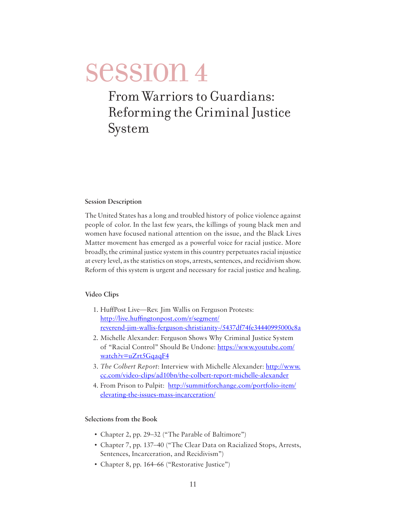### <span id="page-10-0"></span>From Warriors to Guardians: Reforming the Criminal Justice System

#### **Session Description**

The United States has a long and troubled history of police violence against people of color. In the last few years, the killings of young black men and women have focused national attention on the issue, and the Black Lives Matter movement has emerged as a powerful voice for racial justice. More broadly, the criminal justice system in this country perpetuates racial injustice at every level, as the statistics on stops, arrests, sentences, and recidivism show. Reform of this system is urgent and necessary for racial justice and healing.

#### **Video Clips**

- 1. HuffPost Live—Rev. Jim Wallis on Ferguson Protests: [http://live.huffingtonpost.com/r/segment/](http://live.huffingtonpost.com/r/segment/reverend-jim-wallis-ferguson-christianity-/5437df74fe34440995000c8a) [reverend-jim-wallis-ferguson-christianity-/5437df74fe34440995000c8a](http://live.huffingtonpost.com/r/segment/reverend-jim-wallis-ferguson-christianity-/5437df74fe34440995000c8a)
- 2. Michelle Alexander: Ferguson Shows Why Criminal Justice System of "Racial Control" Should Be Undone: [https://www.youtube.com/](https://www.youtube.com/watch?v=uZrt5GqaqF4) [watch?v=uZrt5GqaqF4](https://www.youtube.com/watch?v=uZrt5GqaqF4)
- 3. *The Colbert Report*: Interview with Michelle Alexander: [http://www.](http://www.cc.com/video-clips/ad10bn/the-colbert-report-michelle-alexander) [cc.com/video-clips/ad10bn/the-colbert-report-michelle-alexander](http://www.cc.com/video-clips/ad10bn/the-colbert-report-michelle-alexander)
- 4. From Prison to Pulpit: [http://summitforchange.com/portfolio-item/](http://summitforchange.com/portfolio-item/elevating-the-issues-mass-incarceration/) [elevating-the-issues-mass-incarceration/](http://summitforchange.com/portfolio-item/elevating-the-issues-mass-incarceration/)

#### **Selections from the Book**

- Chapter 2, pp. 29–32 ("The Parable of Baltimore")
- Chapter 7, pp. 137–40 ("The Clear Data on Racialized Stops, Arrests, Sentences, Incarceration, and Recidivism")
- Chapter 8, pp. 164–66 ("Restorative Justice")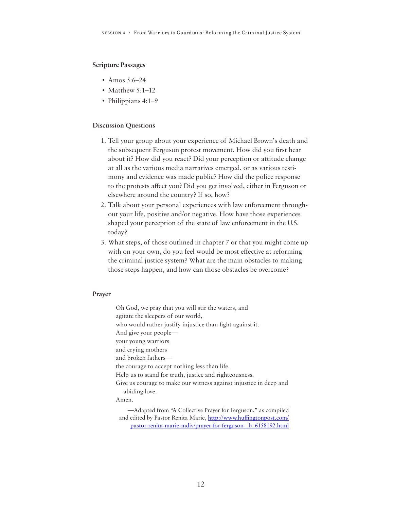#### **Scripture Passages**

- Amos 5:6–24
- Matthew 5:1–12
- Philippians 4:1-9

#### **Discussion Questions**

- 1. Tell your group about your experience of Michael Brown's death and the subsequent Ferguson protest movement. How did you first hear about it? How did you react? Did your perception or attitude change at all as the various media narratives emerged, or as various testimony and evidence was made public? How did the police response to the protests affect you? Did you get involved, either in Ferguson or elsewhere around the country? If so, how?
- 2. Talk about your personal experiences with law enforcement throughout your life, positive and/or negative. How have those experiences shaped your perception of the state of law enforcement in the U.S. today?
- 3. What steps, of those outlined in chapter 7 or that you might come up with on your own, do you feel would be most effective at reforming the criminal justice system? What are the main obstacles to making those steps happen, and how can those obstacles be overcome?

#### **Prayer**

Oh God, we pray that you will stir the waters, and agitate the sleepers of our world, who would rather justify injustice than fight against it. And give your people your young warriors and crying mothers and broken fathers the courage to accept nothing less than life. Help us to stand for truth, justice and righteousness. Give us courage to make our witness against injustice in deep and abiding love. Amen. —Adapted from "A Collective Prayer for Ferguson," as compiled and edited by Pastor Renita Marie, [http://www.huffingtonpost.com/](http://www.huffingtonpost.com/pastor-renita-marie-mdiv/prayer-for-ferguson-_b_6158192.html)

[pastor-renita-marie-mdiv/prayer-for-ferguson-\\_b\\_6158192.html](http://www.huffingtonpost.com/pastor-renita-marie-mdiv/prayer-for-ferguson-_b_6158192.html)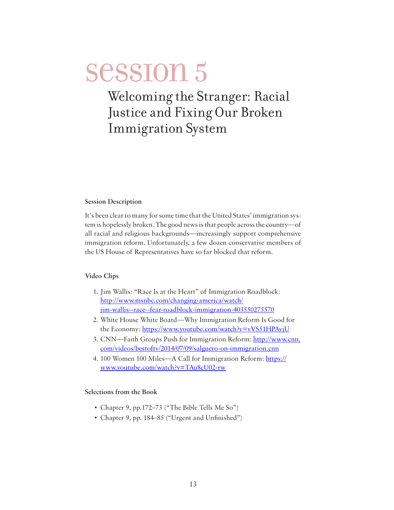## <span id="page-12-0"></span>Welcoming the Stranger: Racial Justice and Fixing Our Broken Immigration System

#### **Session Description**

It's been clear to many for some time that the United States' immigration system is hopelessly broken. The good news is that people across the country—of all racial and religious backgrounds—increasingly support comprehensive immigration reform. Unfortunately, a few dozen conservative members of the US House of Representatives have so far blocked that reform.

#### **Video Clips**

- 1. Jim Wallis: "Race Is at the Heart" of Immigration Roadblock: [http://www.msnbc.com/changing-america/watch/](http://www.msnbc.com/changing-america/watch/jim-wallis--race--fear-roadblock-immigration-403550275570) [jim-wallis--race--fear-roadblock-immigration-403550275570](http://www.msnbc.com/changing-america/watch/jim-wallis--race--fear-roadblock-immigration-403550275570)
- 2. White House White Board—Why Immigration Reform Is Good for the Economy:<https://www.youtube.com/watch?v=vVS51HPAvjU>
- 3. CNN—Faith Groups Push for Immigration Reform: [http://www.cnn.](http://www.cnn.com/videos/bestoftv/2014/07/09/salguero-on-immigration.cnn) [com/videos/bestoftv/2014/07/09/salguero-on-immigration.cnn](http://www.cnn.com/videos/bestoftv/2014/07/09/salguero-on-immigration.cnn)
- 4. 100 Women 100 Miles—A Call for Immigration Reform: [https://](https://www.youtube.com/watch?v=TAu8cU02-rw) [www.youtube.com/watch?v=TAu8cU02-rw](https://www.youtube.com/watch?v=TAu8cU02-rw)

#### **Selections from the Book**

- Chapter 9, pp.172–73 ("The Bible Tells Me So")
- Chapter 9, pp. 184–85 ("Urgent and Unfinished")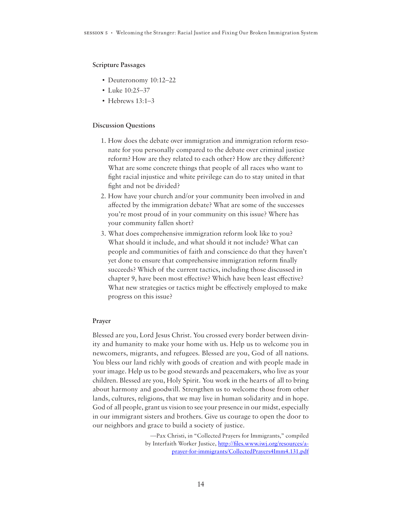#### **Scripture Passages**

- Deuteronomy 10:12–22
- Luke 10:25–37
- Hebrews  $13.1-3$

#### **Discussion Questions**

- 1. How does the debate over immigration and immigration reform resonate for you personally compared to the debate over criminal justice reform? How are they related to each other? How are they different? What are some concrete things that people of all races who want to fight racial injustice and white privilege can do to stay united in that fight and not be divided?
- 2. How have your church and/or your community been involved in and affected by the immigration debate? What are some of the successes you're most proud of in your community on this issue? Where has your community fallen short?
- 3. What does comprehensive immigration reform look like to you? What should it include, and what should it not include? What can people and communities of faith and conscience do that they haven't yet done to ensure that comprehensive immigration reform finally succeeds? Which of the current tactics, including those discussed in chapter 9, have been most effective? Which have been least effective? What new strategies or tactics might be effectively employed to make progress on this issue?

#### **Prayer**

Blessed are you, Lord Jesus Christ. You crossed every border between divinity and humanity to make your home with us. Help us to welcome you in newcomers, migrants, and refugees. Blessed are you, God of all nations. You bless our land richly with goods of creation and with people made in your image. Help us to be good stewards and peacemakers, who live as your children. Blessed are you, Holy Spirit. You work in the hearts of all to bring about harmony and goodwill. Strengthen us to welcome those from other lands, cultures, religions, that we may live in human solidarity and in hope. God of all people, grant us vision to see your presence in our midst, especially in our immigrant sisters and brothers. Give us courage to open the door to our neighbors and grace to build a society of justice.

> —Pax Christi, in "Collected Prayers for Immigrants," compiled by Interfaith Worker Justice, [http://files.www.iwj.org/resources/a](http://files.www.iwj.org/resources/a-prayer-for-immigrants/CollectedPrayers4Imm4.131.pdf)[prayer-for-immigrants/CollectedPrayers4Imm4.131.pdf](http://files.www.iwj.org/resources/a-prayer-for-immigrants/CollectedPrayers4Imm4.131.pdf)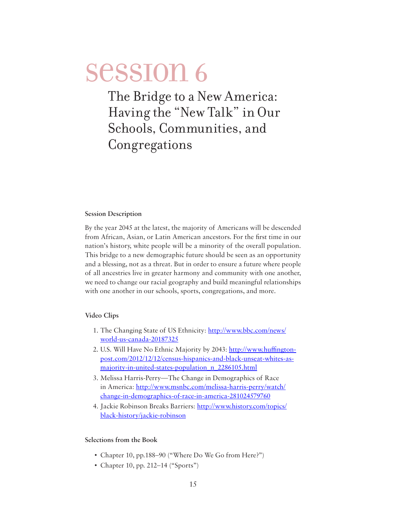<span id="page-14-0"></span>The Bridge to a New America: Having the "New Talk" in Our Schools, Communities, and Congregations

#### **Session Description**

By the year 2045 at the latest, the majority of Americans will be descended from African, Asian, or Latin American ancestors. For the first time in our nation's history, white people will be a minority of the overall population. This bridge to a new demographic future should be seen as an opportunity and a blessing, not as a threat. But in order to ensure a future where people of all ancestries live in greater harmony and community with one another, we need to change our racial geography and build meaningful relationships with one another in our schools, sports, congregations, and more.

#### **Video Clips**

- 1. The Changing State of US Ethnicity: [http://www.bbc.com/news/](http://www.bbc.com/news/world-us-canada-20187325) [world-us-canada-20187325](http://www.bbc.com/news/world-us-canada-20187325)
- 2. U.S. Will Have No Ethnic Majority by 2043: [http://www.huffington](http://www.huffingtonpost.com/2012/12/12/census-hispanics-and-black-unseat-whites-as-majority-in-united-states-population_n_2286105.html)[post.com/2012/12/12/census-hispanics-and-black-unseat-whites-as](http://www.huffingtonpost.com/2012/12/12/census-hispanics-and-black-unseat-whites-as-majority-in-united-states-population_n_2286105.html)[majority-in-united-states-population\\_n\\_2286105.html](http://www.huffingtonpost.com/2012/12/12/census-hispanics-and-black-unseat-whites-as-majority-in-united-states-population_n_2286105.html)
- 3. Melissa Harris-Perry—The Change in Demographics of Race in America: [http://www.msnbc.com/melissa-harris-perry/watch/](http://www.msnbc.com/melissa-harris-perry/watch/change-in-demographics-of-race-in-america-281024579760) [change-in-demographics-of-race-in-america-281024579760](http://www.msnbc.com/melissa-harris-perry/watch/change-in-demographics-of-race-in-america-281024579760)
- 4. Jackie Robinson Breaks Barriers: [http://www.history.com/topics/](http://www.history.com/topics/black-history/jackie-robinson) [black-history/jackie-robinson](http://www.history.com/topics/black-history/jackie-robinson)

#### **Selections from the Book**

- Chapter 10, pp.188–90 ("Where Do We Go from Here?")
- Chapter 10, pp. 212–14 ("Sports")